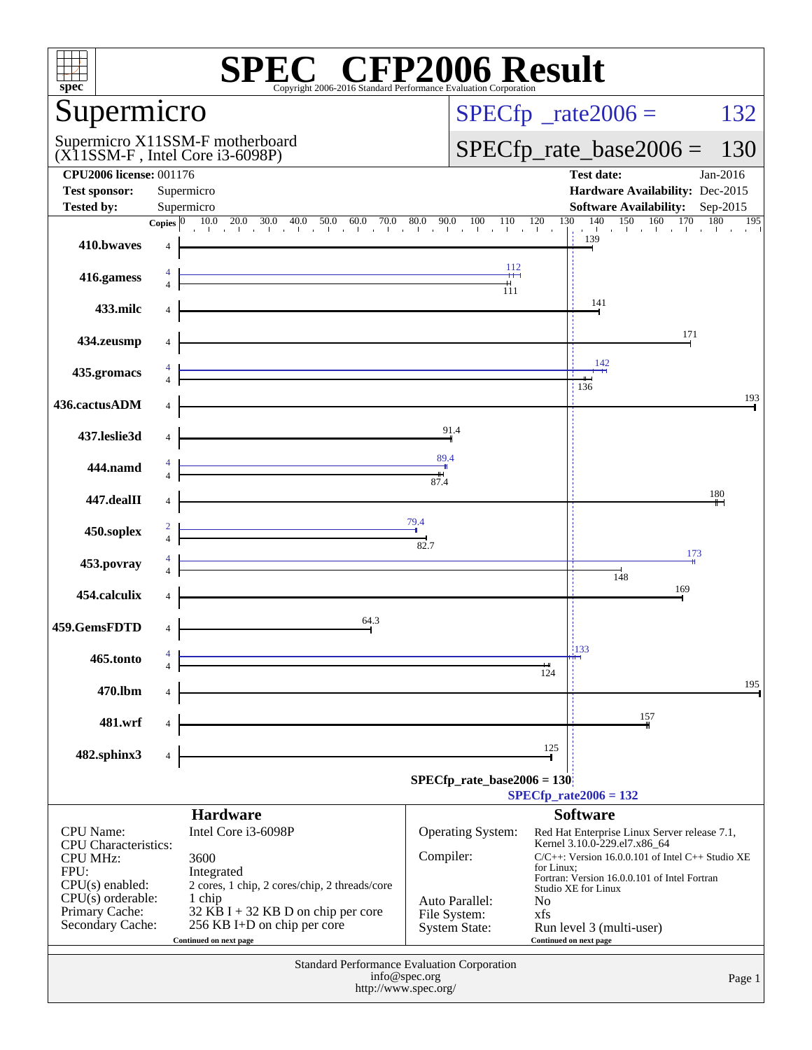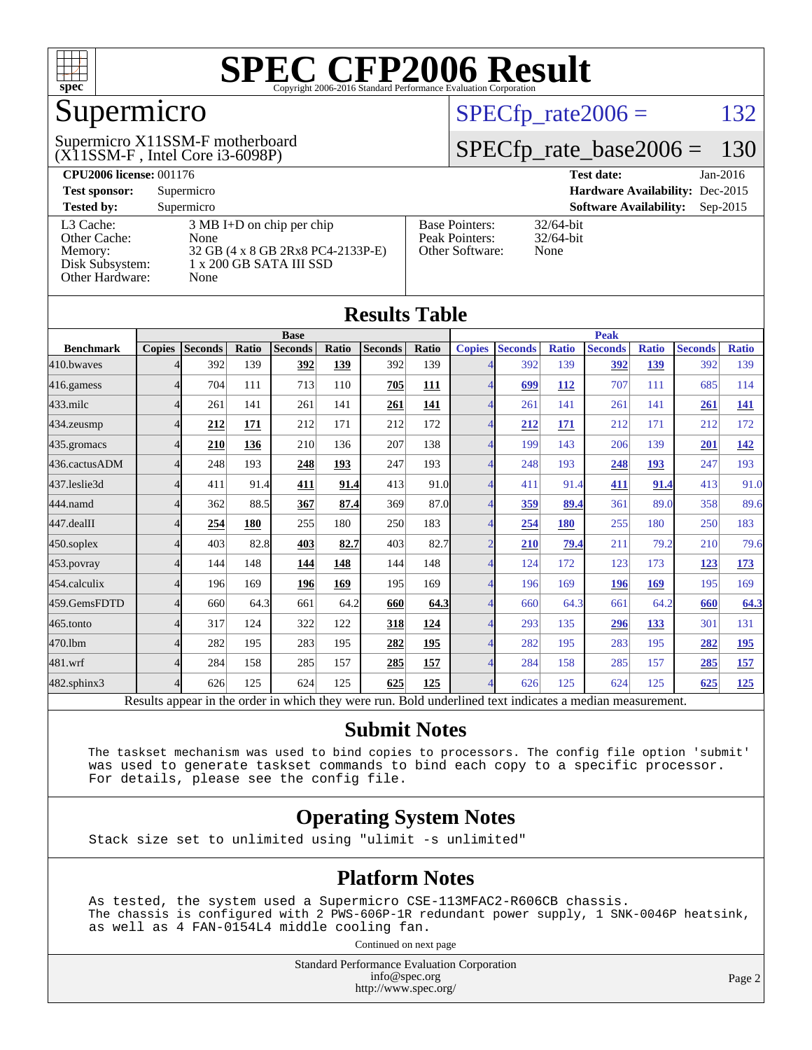

## Supermicro

(X11SSM-F , Intel Core i3-6098P) Supermicro X11SSM-F motherboard  $SPECTp_rate2006 = 132$ 

#### [SPECfp\\_rate\\_base2006 =](http://www.spec.org/auto/cpu2006/Docs/result-fields.html#SPECfpratebase2006) 130

| <b>CPU2006 license: 001176</b> |                                     |                                        | $Jan-2016$<br><b>Test date:</b>             |
|--------------------------------|-------------------------------------|----------------------------------------|---------------------------------------------|
| <b>Test sponsor:</b>           | Supermicro                          | <b>Hardware Availability: Dec-2015</b> |                                             |
| <b>Tested by:</b>              | Supermicro                          |                                        | <b>Software Availability:</b><br>$Sep-2015$ |
| L3 Cache:                      | $3 \text{ MB I+D}$ on chip per chip | <b>Base Pointers:</b>                  | $32/64$ -bit                                |
| Other Cache:                   | None                                | Peak Pointers:                         | $32/64$ -bit                                |
| Memory:                        | 32 GB (4 x 8 GB 2Rx8 PC4-2133P-E)   | Other Software:                        | None                                        |
| Disk Subsystem:                | 1 x 200 GB SATA III SSD             |                                        |                                             |
| Other Hardware:                | None                                |                                        |                                             |

**[Results Table](http://www.spec.org/auto/cpu2006/Docs/result-fields.html#ResultsTable)**

| Results Table    |                                                                                                          |                |       |                |       |                |              |               |                |              |                |              |                |              |
|------------------|----------------------------------------------------------------------------------------------------------|----------------|-------|----------------|-------|----------------|--------------|---------------|----------------|--------------|----------------|--------------|----------------|--------------|
|                  | <b>Base</b>                                                                                              |                |       |                |       |                | <b>Peak</b>  |               |                |              |                |              |                |              |
| <b>Benchmark</b> | <b>Copies</b>                                                                                            | <b>Seconds</b> | Ratio | <b>Seconds</b> | Ratio | <b>Seconds</b> | <b>Ratio</b> | <b>Copies</b> | <b>Seconds</b> | <b>Ratio</b> | <b>Seconds</b> | <b>Ratio</b> | <b>Seconds</b> | <b>Ratio</b> |
| 410.bwayes       |                                                                                                          | 392            | 139   | 392            | 139   | 392            | 139          |               | 392            | 139          | 392            | 139          | 392            | 139          |
| 416.gamess       |                                                                                                          | 704            | 111   | 713            | 110   | 705            | 111          | 4             | 699            | 112          | 707            | 111          | 685            | 114          |
| $433$ .milc      | $\Delta$                                                                                                 | 261            | 141   | 261            | 141   | 261            | 141          | Δ             | 261            | 141          | 261            | 141          | 261            | 141          |
| 434.zeusmp       |                                                                                                          | 212            | 171   | 212            | 171   | 212            | 172          |               | 212            | 171          | 212            | 171          | 212            | 172          |
| 435.gromacs      |                                                                                                          | 210            | 136   | 210            | 136   | 207            | 138          |               | 199            | 143          | 206            | 139          | 201            | 142          |
| 436.cactusADM    |                                                                                                          | 248            | 193   | 248            | 193   | 247            | 193          |               | 248            | 193          | 248            | 193          | 247            | 193          |
| 437.leslie3d     |                                                                                                          | 411            | 91.4  | 411            | 91.4  | 413            | 91.0         | 4             | 411            | 91.4         | 411            | 91.4         | 413            | 91.0         |
| 444.namd         |                                                                                                          | 362            | 88.5  | 367            | 87.4  | 369            | 87.0         |               | <u>359</u>     | 89.4         | 361            | 89.0         | 358            | 89.6         |
| 447.dealII       |                                                                                                          | 254            | 180   | 255            | 180   | 250            | 183          |               | 254            | 180          | 255            | 180          | 250            | 183          |
| 450.soplex       |                                                                                                          | 403            | 82.8  | 403            | 82.7  | 403            | 82.7         | $\gamma$      | 210            | 79.4         | 211            | 79.2         | 210            | 79.6         |
| 453.povray       |                                                                                                          | 144            | 148   | 144            | 148   | 144            | 148          | 4             | 124            | 172          | 123            | 173          | 123            | <u>173</u>   |
| 454.calculix     |                                                                                                          | 196            | 169   | 196            | 169   | 195            | 169          |               | 196            | 169          | 196            | 169          | 195            | 169          |
| 459.GemsFDTD     |                                                                                                          | 660            | 64.3  | 661            | 64.2  | 660            | 64.3         |               | 660            | 64.3         | 661            | 64.2         | 660            | 64.3         |
| 465.tonto        |                                                                                                          | 317            | 124   | 322            | 122   | 318            | 124          |               | 293            | 135          | 296            | 133          | 301            | 131          |
| 470.1bm          |                                                                                                          | 282            | 195   | 283            | 195   | 282            | 195          |               | 282            | 195          | 283            | 195          | 282            | <u>195</u>   |
| 481.wrf          |                                                                                                          | 284            | 158   | 285            | 157   | 285            | 157          |               | 284            | 158          | 285            | 157          | 285            | 157          |
| 482.sphinx3      | $\Delta$                                                                                                 | 626            | 125   | 624            | 125   | 625            | 125          |               | 626            | 125          | 624            | 125          | 625            | <u>125</u>   |
|                  | Results appear in the order in which they were run. Bold underlined text indicates a median measurement. |                |       |                |       |                |              |               |                |              |                |              |                |              |

#### **[Submit Notes](http://www.spec.org/auto/cpu2006/Docs/result-fields.html#SubmitNotes)**

 The taskset mechanism was used to bind copies to processors. The config file option 'submit' was used to generate taskset commands to bind each copy to a specific processor. For details, please see the config file.

#### **[Operating System Notes](http://www.spec.org/auto/cpu2006/Docs/result-fields.html#OperatingSystemNotes)**

Stack size set to unlimited using "ulimit -s unlimited"

#### **[Platform Notes](http://www.spec.org/auto/cpu2006/Docs/result-fields.html#PlatformNotes)**

 As tested, the system used a Supermicro CSE-113MFAC2-R606CB chassis. The chassis is configured with 2 PWS-606P-1R redundant power supply, 1 SNK-0046P heatsink, as well as 4 FAN-0154L4 middle cooling fan.

Continued on next page

Standard Performance Evaluation Corporation [info@spec.org](mailto:info@spec.org) <http://www.spec.org/>

Page 2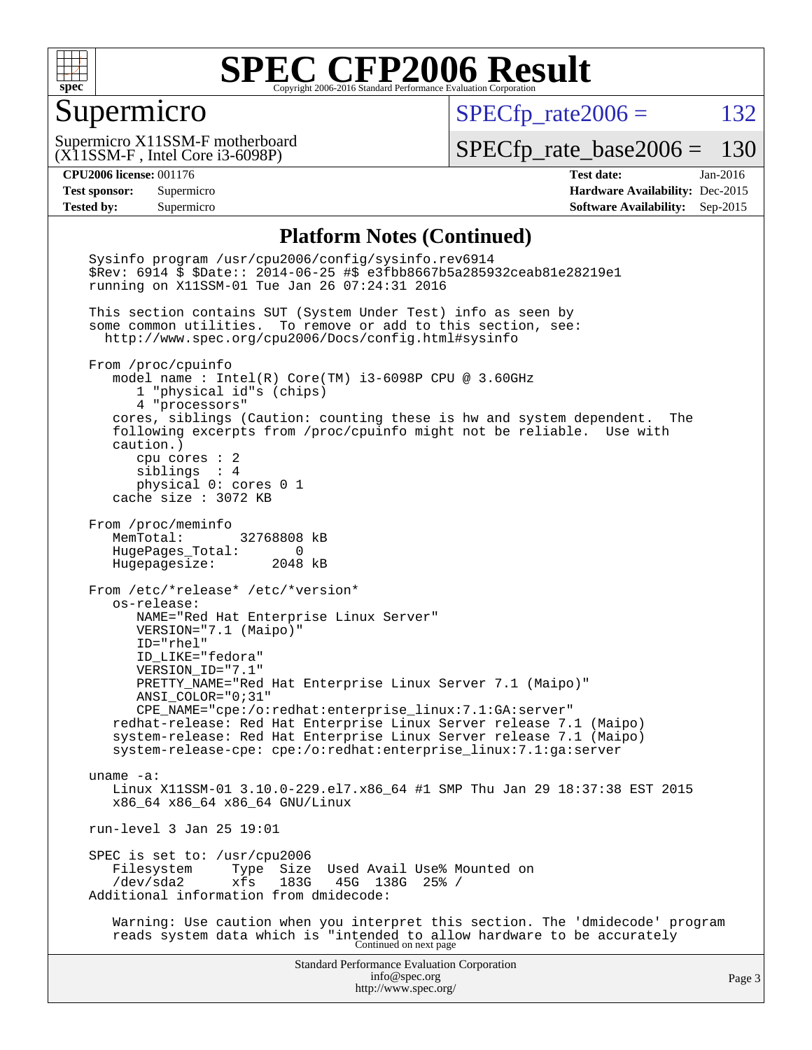

#### Supermicro

 $SPECfp_rate2006 = 132$  $SPECfp_rate2006 = 132$ 

(X11SSM-F , Intel Core i3-6098P) Supermicro X11SSM-F motherboard

[SPECfp\\_rate\\_base2006 =](http://www.spec.org/auto/cpu2006/Docs/result-fields.html#SPECfpratebase2006) 130

**[CPU2006 license:](http://www.spec.org/auto/cpu2006/Docs/result-fields.html#CPU2006license)** 001176 **[Test date:](http://www.spec.org/auto/cpu2006/Docs/result-fields.html#Testdate)** Jan-2016 **[Test sponsor:](http://www.spec.org/auto/cpu2006/Docs/result-fields.html#Testsponsor)** Supermicro **[Hardware Availability:](http://www.spec.org/auto/cpu2006/Docs/result-fields.html#HardwareAvailability)** Dec-2015 **[Tested by:](http://www.spec.org/auto/cpu2006/Docs/result-fields.html#Testedby)** Supermicro **Supermicro [Software Availability:](http://www.spec.org/auto/cpu2006/Docs/result-fields.html#SoftwareAvailability)** Sep-2015

#### **[Platform Notes \(Continued\)](http://www.spec.org/auto/cpu2006/Docs/result-fields.html#PlatformNotes)**

Standard Performance Evaluation Corporation [info@spec.org](mailto:info@spec.org) <http://www.spec.org/> Page 3 Sysinfo program /usr/cpu2006/config/sysinfo.rev6914 \$Rev: 6914 \$ \$Date:: 2014-06-25 #\$ e3fbb8667b5a285932ceab81e28219e1 running on X11SSM-01 Tue Jan 26 07:24:31 2016 This section contains SUT (System Under Test) info as seen by some common utilities. To remove or add to this section, see: <http://www.spec.org/cpu2006/Docs/config.html#sysinfo> From /proc/cpuinfo model name : Intel(R) Core(TM) i3-6098P CPU @ 3.60GHz 1 "physical id"s (chips) 4 "processors" cores, siblings (Caution: counting these is hw and system dependent. The following excerpts from /proc/cpuinfo might not be reliable. Use with caution.) cpu cores : 2 siblings : 4 physical 0: cores 0 1 cache size : 3072 KB From /proc/meminfo MemTotal: 32768808 kB HugePages\_Total: 0 Hugepagesize: 2048 kB From /etc/\*release\* /etc/\*version\* os-release: NAME="Red Hat Enterprise Linux Server" VERSION="7.1 (Maipo)" ID="rhel" ID\_LIKE="fedora" VERSION\_ID="7.1" PRETTY\_NAME="Red Hat Enterprise Linux Server 7.1 (Maipo)" ANSI\_COLOR="0;31" CPE\_NAME="cpe:/o:redhat:enterprise\_linux:7.1:GA:server" redhat-release: Red Hat Enterprise Linux Server release 7.1 (Maipo) system-release: Red Hat Enterprise Linux Server release 7.1 (Maipo) system-release-cpe: cpe:/o:redhat:enterprise\_linux:7.1:ga:server uname -a: Linux X11SSM-01 3.10.0-229.el7.x86\_64 #1 SMP Thu Jan 29 18:37:38 EST 2015 x86\_64 x86\_64 x86\_64 GNU/Linux run-level 3 Jan 25 19:01 SPEC is set to: /usr/cpu2006<br>Filesystem Type Size Filesystem Type Size Used Avail Use% Mounted on<br>/dev/sda2 xfs 183G 45G 138G 25% / /dev/sda2 xfs 183G 45G 138G 25% / Additional information from dmidecode: Warning: Use caution when you interpret this section. The 'dmidecode' program reads system data which is "intended to allow hardware to be accurately Continued on next page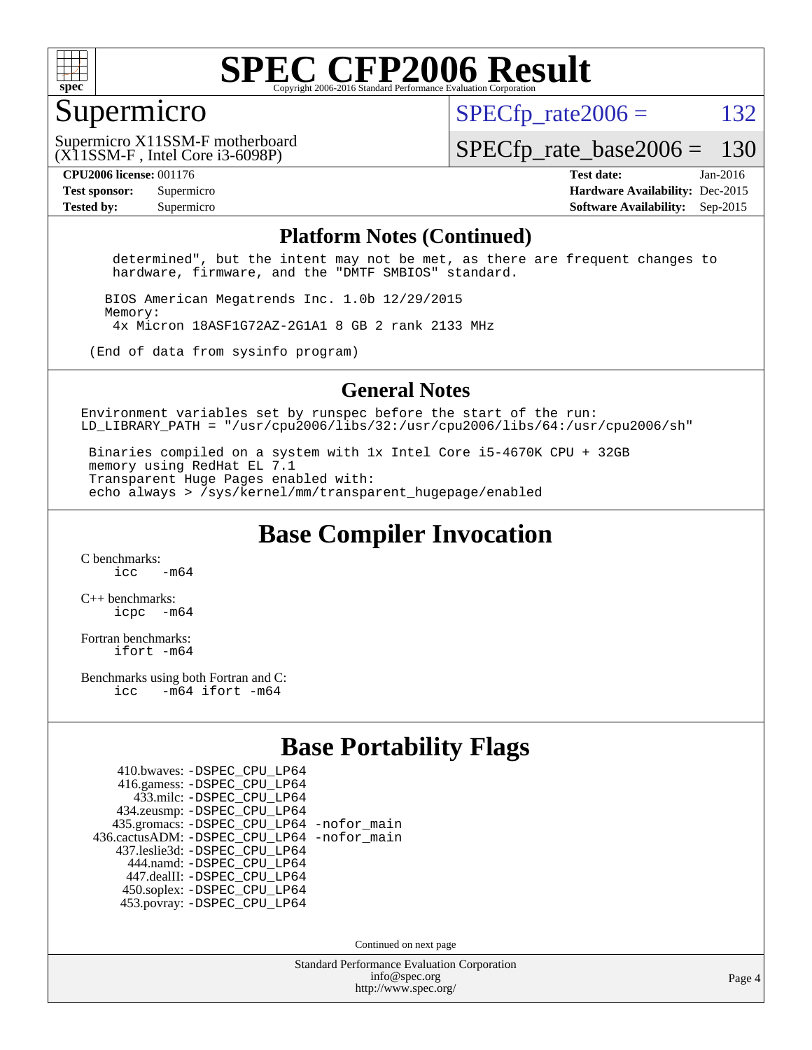

#### Supermicro

 $SPECTp\_rate2006 = 132$ 

(X11SSM-F , Intel Core i3-6098P) Supermicro X11SSM-F motherboard

[SPECfp\\_rate\\_base2006 =](http://www.spec.org/auto/cpu2006/Docs/result-fields.html#SPECfpratebase2006) 130

**[CPU2006 license:](http://www.spec.org/auto/cpu2006/Docs/result-fields.html#CPU2006license)** 001176 **[Test date:](http://www.spec.org/auto/cpu2006/Docs/result-fields.html#Testdate)** Jan-2016 **[Test sponsor:](http://www.spec.org/auto/cpu2006/Docs/result-fields.html#Testsponsor)** Supermicro **[Hardware Availability:](http://www.spec.org/auto/cpu2006/Docs/result-fields.html#HardwareAvailability)** Dec-2015 **[Tested by:](http://www.spec.org/auto/cpu2006/Docs/result-fields.html#Testedby)** Supermicro **Supermicro [Software Availability:](http://www.spec.org/auto/cpu2006/Docs/result-fields.html#SoftwareAvailability)** Sep-2015

#### **[Platform Notes \(Continued\)](http://www.spec.org/auto/cpu2006/Docs/result-fields.html#PlatformNotes)**

 determined", but the intent may not be met, as there are frequent changes to hardware, firmware, and the "DMTF SMBIOS" standard.

 BIOS American Megatrends Inc. 1.0b 12/29/2015 Memory: 4x Micron 18ASF1G72AZ-2G1A1 8 GB 2 rank 2133 MHz

(End of data from sysinfo program)

#### **[General Notes](http://www.spec.org/auto/cpu2006/Docs/result-fields.html#GeneralNotes)**

Environment variables set by runspec before the start of the run: LD LIBRARY PATH = "/usr/cpu2006/libs/32:/usr/cpu2006/libs/64:/usr/cpu2006/sh"

 Binaries compiled on a system with 1x Intel Core i5-4670K CPU + 32GB memory using RedHat EL 7.1 Transparent Huge Pages enabled with: echo always > /sys/kernel/mm/transparent\_hugepage/enabled

**[Base Compiler Invocation](http://www.spec.org/auto/cpu2006/Docs/result-fields.html#BaseCompilerInvocation)**

[C benchmarks](http://www.spec.org/auto/cpu2006/Docs/result-fields.html#Cbenchmarks):  $\frac{1}{2}$  cc  $-$  m64

[C++ benchmarks:](http://www.spec.org/auto/cpu2006/Docs/result-fields.html#CXXbenchmarks) [icpc -m64](http://www.spec.org/cpu2006/results/res2016q1/cpu2006-20160125-38947.flags.html#user_CXXbase_intel_icpc_64bit_bedb90c1146cab66620883ef4f41a67e)

[Fortran benchmarks](http://www.spec.org/auto/cpu2006/Docs/result-fields.html#Fortranbenchmarks): [ifort -m64](http://www.spec.org/cpu2006/results/res2016q1/cpu2006-20160125-38947.flags.html#user_FCbase_intel_ifort_64bit_ee9d0fb25645d0210d97eb0527dcc06e)

[Benchmarks using both Fortran and C](http://www.spec.org/auto/cpu2006/Docs/result-fields.html#BenchmarksusingbothFortranandC): [icc -m64](http://www.spec.org/cpu2006/results/res2016q1/cpu2006-20160125-38947.flags.html#user_CC_FCbase_intel_icc_64bit_0b7121f5ab7cfabee23d88897260401c) [ifort -m64](http://www.spec.org/cpu2006/results/res2016q1/cpu2006-20160125-38947.flags.html#user_CC_FCbase_intel_ifort_64bit_ee9d0fb25645d0210d97eb0527dcc06e)

#### **[Base Portability Flags](http://www.spec.org/auto/cpu2006/Docs/result-fields.html#BasePortabilityFlags)**

| 410.bwaves: - DSPEC CPU LP64                 |  |
|----------------------------------------------|--|
| 416.gamess: -DSPEC_CPU_LP64                  |  |
| 433.milc: -DSPEC CPU LP64                    |  |
| 434.zeusmp: -DSPEC_CPU_LP64                  |  |
| 435.gromacs: -DSPEC_CPU_LP64 -nofor_main     |  |
| 436.cactusADM: - DSPEC CPU LP64 - nofor main |  |
| 437.leslie3d: -DSPEC_CPU_LP64                |  |
| 444.namd: - DSPEC CPU LP64                   |  |
| 447.dealII: -DSPEC CPU LP64                  |  |
| 450.soplex: -DSPEC_CPU_LP64                  |  |
| 453.povray: -DSPEC CPU LP64                  |  |

Continued on next page

Standard Performance Evaluation Corporation [info@spec.org](mailto:info@spec.org) <http://www.spec.org/>

Page 4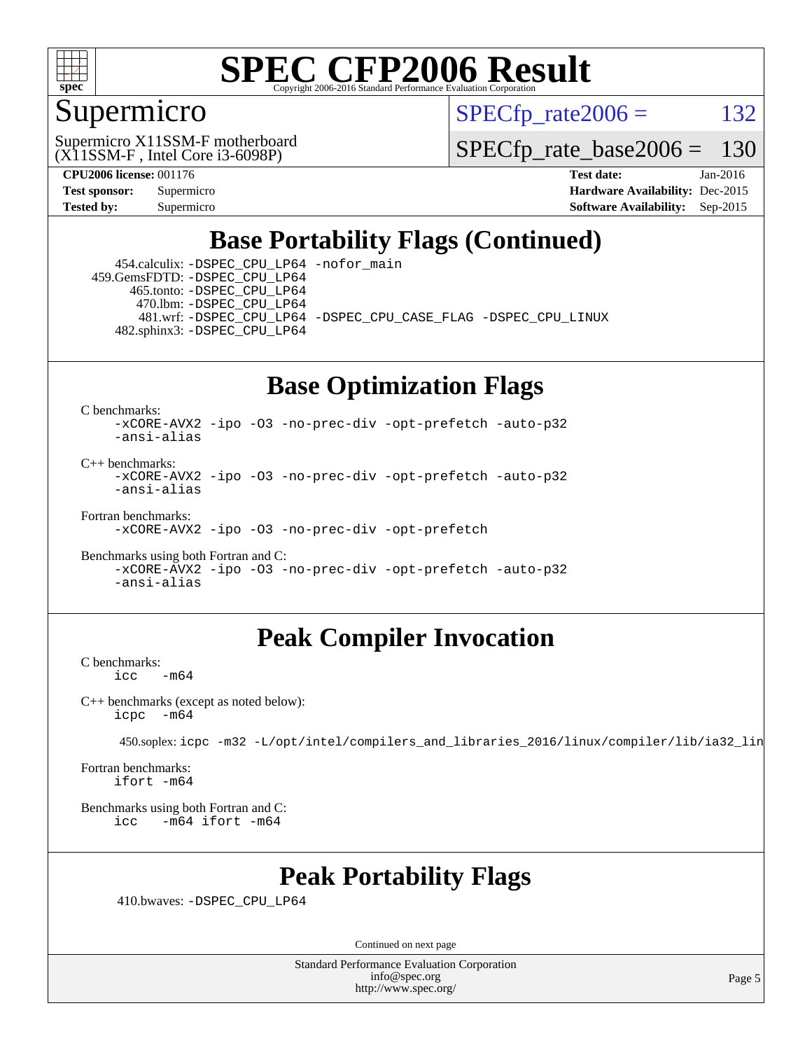

#### Supermicro

 $SPECTp\_rate2006 = 132$ 

(X11SSM-F , Intel Core i3-6098P) Supermicro X11SSM-F motherboard

[SPECfp\\_rate\\_base2006 =](http://www.spec.org/auto/cpu2006/Docs/result-fields.html#SPECfpratebase2006) 130

**[CPU2006 license:](http://www.spec.org/auto/cpu2006/Docs/result-fields.html#CPU2006license)** 001176 **[Test date:](http://www.spec.org/auto/cpu2006/Docs/result-fields.html#Testdate)** Jan-2016 **[Test sponsor:](http://www.spec.org/auto/cpu2006/Docs/result-fields.html#Testsponsor)** Supermicro **[Hardware Availability:](http://www.spec.org/auto/cpu2006/Docs/result-fields.html#HardwareAvailability)** Dec-2015 **[Tested by:](http://www.spec.org/auto/cpu2006/Docs/result-fields.html#Testedby)** Supermicro **[Software Availability:](http://www.spec.org/auto/cpu2006/Docs/result-fields.html#SoftwareAvailability)** Sep-2015

### **[Base Portability Flags \(Continued\)](http://www.spec.org/auto/cpu2006/Docs/result-fields.html#BasePortabilityFlags)**

 454.calculix: [-DSPEC\\_CPU\\_LP64](http://www.spec.org/cpu2006/results/res2016q1/cpu2006-20160125-38947.flags.html#suite_basePORTABILITY454_calculix_DSPEC_CPU_LP64) [-nofor\\_main](http://www.spec.org/cpu2006/results/res2016q1/cpu2006-20160125-38947.flags.html#user_baseLDPORTABILITY454_calculix_f-nofor_main) 459.GemsFDTD: [-DSPEC\\_CPU\\_LP64](http://www.spec.org/cpu2006/results/res2016q1/cpu2006-20160125-38947.flags.html#suite_basePORTABILITY459_GemsFDTD_DSPEC_CPU_LP64) 465.tonto: [-DSPEC\\_CPU\\_LP64](http://www.spec.org/cpu2006/results/res2016q1/cpu2006-20160125-38947.flags.html#suite_basePORTABILITY465_tonto_DSPEC_CPU_LP64) 470.lbm: [-DSPEC\\_CPU\\_LP64](http://www.spec.org/cpu2006/results/res2016q1/cpu2006-20160125-38947.flags.html#suite_basePORTABILITY470_lbm_DSPEC_CPU_LP64) 481.wrf: [-DSPEC\\_CPU\\_LP64](http://www.spec.org/cpu2006/results/res2016q1/cpu2006-20160125-38947.flags.html#suite_basePORTABILITY481_wrf_DSPEC_CPU_LP64) [-DSPEC\\_CPU\\_CASE\\_FLAG](http://www.spec.org/cpu2006/results/res2016q1/cpu2006-20160125-38947.flags.html#b481.wrf_baseCPORTABILITY_DSPEC_CPU_CASE_FLAG) [-DSPEC\\_CPU\\_LINUX](http://www.spec.org/cpu2006/results/res2016q1/cpu2006-20160125-38947.flags.html#b481.wrf_baseCPORTABILITY_DSPEC_CPU_LINUX) 482.sphinx3: [-DSPEC\\_CPU\\_LP64](http://www.spec.org/cpu2006/results/res2016q1/cpu2006-20160125-38947.flags.html#suite_basePORTABILITY482_sphinx3_DSPEC_CPU_LP64)

### **[Base Optimization Flags](http://www.spec.org/auto/cpu2006/Docs/result-fields.html#BaseOptimizationFlags)**

[C benchmarks](http://www.spec.org/auto/cpu2006/Docs/result-fields.html#Cbenchmarks):

[-xCORE-AVX2](http://www.spec.org/cpu2006/results/res2016q1/cpu2006-20160125-38947.flags.html#user_CCbase_f-xAVX2_5f5fc0cbe2c9f62c816d3e45806c70d7) [-ipo](http://www.spec.org/cpu2006/results/res2016q1/cpu2006-20160125-38947.flags.html#user_CCbase_f-ipo) [-O3](http://www.spec.org/cpu2006/results/res2016q1/cpu2006-20160125-38947.flags.html#user_CCbase_f-O3) [-no-prec-div](http://www.spec.org/cpu2006/results/res2016q1/cpu2006-20160125-38947.flags.html#user_CCbase_f-no-prec-div) [-opt-prefetch](http://www.spec.org/cpu2006/results/res2016q1/cpu2006-20160125-38947.flags.html#user_CCbase_f-opt-prefetch) [-auto-p32](http://www.spec.org/cpu2006/results/res2016q1/cpu2006-20160125-38947.flags.html#user_CCbase_f-auto-p32) [-ansi-alias](http://www.spec.org/cpu2006/results/res2016q1/cpu2006-20160125-38947.flags.html#user_CCbase_f-ansi-alias)

 $C_{++}$  benchmarks: [-xCORE-AVX2](http://www.spec.org/cpu2006/results/res2016q1/cpu2006-20160125-38947.flags.html#user_CXXbase_f-xAVX2_5f5fc0cbe2c9f62c816d3e45806c70d7) [-ipo](http://www.spec.org/cpu2006/results/res2016q1/cpu2006-20160125-38947.flags.html#user_CXXbase_f-ipo) [-O3](http://www.spec.org/cpu2006/results/res2016q1/cpu2006-20160125-38947.flags.html#user_CXXbase_f-O3) [-no-prec-div](http://www.spec.org/cpu2006/results/res2016q1/cpu2006-20160125-38947.flags.html#user_CXXbase_f-no-prec-div) [-opt-prefetch](http://www.spec.org/cpu2006/results/res2016q1/cpu2006-20160125-38947.flags.html#user_CXXbase_f-opt-prefetch) [-auto-p32](http://www.spec.org/cpu2006/results/res2016q1/cpu2006-20160125-38947.flags.html#user_CXXbase_f-auto-p32) [-ansi-alias](http://www.spec.org/cpu2006/results/res2016q1/cpu2006-20160125-38947.flags.html#user_CXXbase_f-ansi-alias)

[Fortran benchmarks](http://www.spec.org/auto/cpu2006/Docs/result-fields.html#Fortranbenchmarks):

[-xCORE-AVX2](http://www.spec.org/cpu2006/results/res2016q1/cpu2006-20160125-38947.flags.html#user_FCbase_f-xAVX2_5f5fc0cbe2c9f62c816d3e45806c70d7) [-ipo](http://www.spec.org/cpu2006/results/res2016q1/cpu2006-20160125-38947.flags.html#user_FCbase_f-ipo) [-O3](http://www.spec.org/cpu2006/results/res2016q1/cpu2006-20160125-38947.flags.html#user_FCbase_f-O3) [-no-prec-div](http://www.spec.org/cpu2006/results/res2016q1/cpu2006-20160125-38947.flags.html#user_FCbase_f-no-prec-div) [-opt-prefetch](http://www.spec.org/cpu2006/results/res2016q1/cpu2006-20160125-38947.flags.html#user_FCbase_f-opt-prefetch)

[Benchmarks using both Fortran and C](http://www.spec.org/auto/cpu2006/Docs/result-fields.html#BenchmarksusingbothFortranandC): [-xCORE-AVX2](http://www.spec.org/cpu2006/results/res2016q1/cpu2006-20160125-38947.flags.html#user_CC_FCbase_f-xAVX2_5f5fc0cbe2c9f62c816d3e45806c70d7) [-ipo](http://www.spec.org/cpu2006/results/res2016q1/cpu2006-20160125-38947.flags.html#user_CC_FCbase_f-ipo) [-O3](http://www.spec.org/cpu2006/results/res2016q1/cpu2006-20160125-38947.flags.html#user_CC_FCbase_f-O3) [-no-prec-div](http://www.spec.org/cpu2006/results/res2016q1/cpu2006-20160125-38947.flags.html#user_CC_FCbase_f-no-prec-div) [-opt-prefetch](http://www.spec.org/cpu2006/results/res2016q1/cpu2006-20160125-38947.flags.html#user_CC_FCbase_f-opt-prefetch) [-auto-p32](http://www.spec.org/cpu2006/results/res2016q1/cpu2006-20160125-38947.flags.html#user_CC_FCbase_f-auto-p32) [-ansi-alias](http://www.spec.org/cpu2006/results/res2016q1/cpu2006-20160125-38947.flags.html#user_CC_FCbase_f-ansi-alias)

### **[Peak Compiler Invocation](http://www.spec.org/auto/cpu2006/Docs/result-fields.html#PeakCompilerInvocation)**

[C benchmarks](http://www.spec.org/auto/cpu2006/Docs/result-fields.html#Cbenchmarks):  $-m64$ 

[C++ benchmarks \(except as noted below\):](http://www.spec.org/auto/cpu2006/Docs/result-fields.html#CXXbenchmarksexceptasnotedbelow) [icpc -m64](http://www.spec.org/cpu2006/results/res2016q1/cpu2006-20160125-38947.flags.html#user_CXXpeak_intel_icpc_64bit_bedb90c1146cab66620883ef4f41a67e)

450.soplex: [icpc -m32 -L/opt/intel/compilers\\_and\\_libraries\\_2016/linux/compiler/lib/ia32\\_lin](http://www.spec.org/cpu2006/results/res2016q1/cpu2006-20160125-38947.flags.html#user_peakCXXLD450_soplex_intel_icpc_b4f50a394bdb4597aa5879c16bc3f5c5)

[Fortran benchmarks](http://www.spec.org/auto/cpu2006/Docs/result-fields.html#Fortranbenchmarks): [ifort -m64](http://www.spec.org/cpu2006/results/res2016q1/cpu2006-20160125-38947.flags.html#user_FCpeak_intel_ifort_64bit_ee9d0fb25645d0210d97eb0527dcc06e)

[Benchmarks using both Fortran and C](http://www.spec.org/auto/cpu2006/Docs/result-fields.html#BenchmarksusingbothFortranandC): [icc -m64](http://www.spec.org/cpu2006/results/res2016q1/cpu2006-20160125-38947.flags.html#user_CC_FCpeak_intel_icc_64bit_0b7121f5ab7cfabee23d88897260401c) [ifort -m64](http://www.spec.org/cpu2006/results/res2016q1/cpu2006-20160125-38947.flags.html#user_CC_FCpeak_intel_ifort_64bit_ee9d0fb25645d0210d97eb0527dcc06e)

#### **[Peak Portability Flags](http://www.spec.org/auto/cpu2006/Docs/result-fields.html#PeakPortabilityFlags)**

410.bwaves: [-DSPEC\\_CPU\\_LP64](http://www.spec.org/cpu2006/results/res2016q1/cpu2006-20160125-38947.flags.html#suite_peakPORTABILITY410_bwaves_DSPEC_CPU_LP64)

Continued on next page

Standard Performance Evaluation Corporation [info@spec.org](mailto:info@spec.org) <http://www.spec.org/>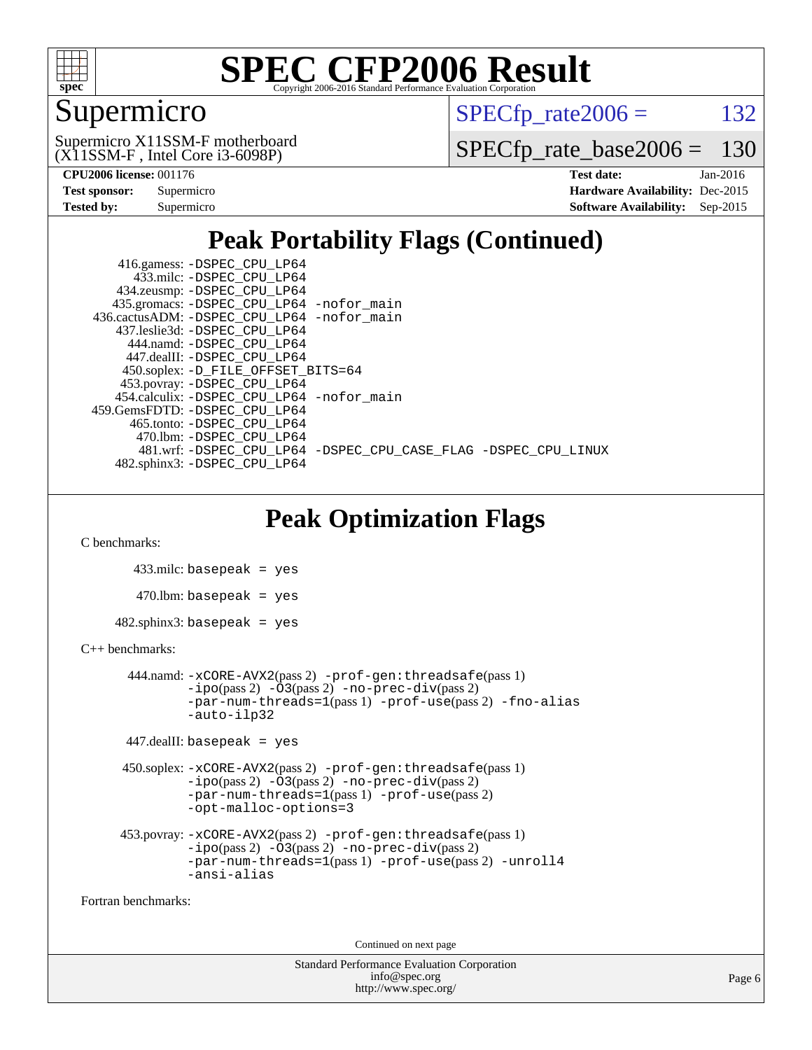

#### Supermicro

 $SPECTp\_rate2006 = 132$ 

(X11SSM-F , Intel Core i3-6098P) Supermicro X11SSM-F motherboard

[SPECfp\\_rate\\_base2006 =](http://www.spec.org/auto/cpu2006/Docs/result-fields.html#SPECfpratebase2006) 130

| <b>Test sponsor:</b> | Supermicro |
|----------------------|------------|
| Tested by:           | Supermicro |

**[CPU2006 license:](http://www.spec.org/auto/cpu2006/Docs/result-fields.html#CPU2006license)** 001176 **[Test date:](http://www.spec.org/auto/cpu2006/Docs/result-fields.html#Testdate)** Jan-2016 **[Hardware Availability:](http://www.spec.org/auto/cpu2006/Docs/result-fields.html#HardwareAvailability)** Dec-2015 **[Software Availability:](http://www.spec.org/auto/cpu2006/Docs/result-fields.html#SoftwareAvailability)** Sep-2015

### **[Peak Portability Flags \(Continued\)](http://www.spec.org/auto/cpu2006/Docs/result-fields.html#PeakPortabilityFlags)**

 416.gamess: [-DSPEC\\_CPU\\_LP64](http://www.spec.org/cpu2006/results/res2016q1/cpu2006-20160125-38947.flags.html#suite_peakPORTABILITY416_gamess_DSPEC_CPU_LP64) 433.milc: [-DSPEC\\_CPU\\_LP64](http://www.spec.org/cpu2006/results/res2016q1/cpu2006-20160125-38947.flags.html#suite_peakPORTABILITY433_milc_DSPEC_CPU_LP64) 434.zeusmp: [-DSPEC\\_CPU\\_LP64](http://www.spec.org/cpu2006/results/res2016q1/cpu2006-20160125-38947.flags.html#suite_peakPORTABILITY434_zeusmp_DSPEC_CPU_LP64) 435.gromacs: [-DSPEC\\_CPU\\_LP64](http://www.spec.org/cpu2006/results/res2016q1/cpu2006-20160125-38947.flags.html#suite_peakPORTABILITY435_gromacs_DSPEC_CPU_LP64) [-nofor\\_main](http://www.spec.org/cpu2006/results/res2016q1/cpu2006-20160125-38947.flags.html#user_peakLDPORTABILITY435_gromacs_f-nofor_main) 436.cactusADM: [-DSPEC\\_CPU\\_LP64](http://www.spec.org/cpu2006/results/res2016q1/cpu2006-20160125-38947.flags.html#suite_peakPORTABILITY436_cactusADM_DSPEC_CPU_LP64) [-nofor\\_main](http://www.spec.org/cpu2006/results/res2016q1/cpu2006-20160125-38947.flags.html#user_peakLDPORTABILITY436_cactusADM_f-nofor_main) 437.leslie3d: [-DSPEC\\_CPU\\_LP64](http://www.spec.org/cpu2006/results/res2016q1/cpu2006-20160125-38947.flags.html#suite_peakPORTABILITY437_leslie3d_DSPEC_CPU_LP64) 444.namd: [-DSPEC\\_CPU\\_LP64](http://www.spec.org/cpu2006/results/res2016q1/cpu2006-20160125-38947.flags.html#suite_peakPORTABILITY444_namd_DSPEC_CPU_LP64) 447.dealII: [-DSPEC\\_CPU\\_LP64](http://www.spec.org/cpu2006/results/res2016q1/cpu2006-20160125-38947.flags.html#suite_peakPORTABILITY447_dealII_DSPEC_CPU_LP64) 450.soplex: [-D\\_FILE\\_OFFSET\\_BITS=64](http://www.spec.org/cpu2006/results/res2016q1/cpu2006-20160125-38947.flags.html#user_peakPORTABILITY450_soplex_file_offset_bits_64_438cf9856305ebd76870a2c6dc2689ab) 453.povray: [-DSPEC\\_CPU\\_LP64](http://www.spec.org/cpu2006/results/res2016q1/cpu2006-20160125-38947.flags.html#suite_peakPORTABILITY453_povray_DSPEC_CPU_LP64) 454.calculix: [-DSPEC\\_CPU\\_LP64](http://www.spec.org/cpu2006/results/res2016q1/cpu2006-20160125-38947.flags.html#suite_peakPORTABILITY454_calculix_DSPEC_CPU_LP64) [-nofor\\_main](http://www.spec.org/cpu2006/results/res2016q1/cpu2006-20160125-38947.flags.html#user_peakLDPORTABILITY454_calculix_f-nofor_main) 459.GemsFDTD: [-DSPEC\\_CPU\\_LP64](http://www.spec.org/cpu2006/results/res2016q1/cpu2006-20160125-38947.flags.html#suite_peakPORTABILITY459_GemsFDTD_DSPEC_CPU_LP64) 465.tonto: [-DSPEC\\_CPU\\_LP64](http://www.spec.org/cpu2006/results/res2016q1/cpu2006-20160125-38947.flags.html#suite_peakPORTABILITY465_tonto_DSPEC_CPU_LP64) 470.lbm: [-DSPEC\\_CPU\\_LP64](http://www.spec.org/cpu2006/results/res2016q1/cpu2006-20160125-38947.flags.html#suite_peakPORTABILITY470_lbm_DSPEC_CPU_LP64) 481.wrf: [-DSPEC\\_CPU\\_LP64](http://www.spec.org/cpu2006/results/res2016q1/cpu2006-20160125-38947.flags.html#suite_peakPORTABILITY481_wrf_DSPEC_CPU_LP64) [-DSPEC\\_CPU\\_CASE\\_FLAG](http://www.spec.org/cpu2006/results/res2016q1/cpu2006-20160125-38947.flags.html#b481.wrf_peakCPORTABILITY_DSPEC_CPU_CASE_FLAG) [-DSPEC\\_CPU\\_LINUX](http://www.spec.org/cpu2006/results/res2016q1/cpu2006-20160125-38947.flags.html#b481.wrf_peakCPORTABILITY_DSPEC_CPU_LINUX) 482.sphinx3: [-DSPEC\\_CPU\\_LP64](http://www.spec.org/cpu2006/results/res2016q1/cpu2006-20160125-38947.flags.html#suite_peakPORTABILITY482_sphinx3_DSPEC_CPU_LP64)

### **[Peak Optimization Flags](http://www.spec.org/auto/cpu2006/Docs/result-fields.html#PeakOptimizationFlags)**

[C benchmarks](http://www.spec.org/auto/cpu2006/Docs/result-fields.html#Cbenchmarks):

 433.milc: basepeak = yes  $470$ .lbm: basepeak = yes  $482$ .sphinx $3$ : basepeak = yes

#### [C++ benchmarks:](http://www.spec.org/auto/cpu2006/Docs/result-fields.html#CXXbenchmarks)

```
 444.namd: -xCORE-AVX2(pass 2) -prof-gen:threadsafe(pass 1)
       -no-prec-div(pass 2)-par-num-threads=1(pass 1) -prof-use(pass 2) -fno-alias
       -auto-ilp32
```

```
 447.dealII: basepeak = yes
```

```
 450.soplex: -xCORE-AVX2(pass 2) -prof-gen:threadsafe(pass 1)
          -i\text{po}(pass 2) -\overline{O}3(pass 2)-no-prec-div(pass 2)
          -par-num-threads=1(pass 1) -prof-use(pass 2)
          -opt-malloc-options=3
```

```
 453.povray: -xCORE-AVX2(pass 2) -prof-gen:threadsafe(pass 1)
          -i\text{po}(pass 2) -\tilde{O}3(pass 2)-no-prec-div(pass 2)
          -par-num-threads=1(pass 1) -prof-use(pass 2) -unroll4
          -ansi-alias
```
[Fortran benchmarks](http://www.spec.org/auto/cpu2006/Docs/result-fields.html#Fortranbenchmarks):

Continued on next page

Standard Performance Evaluation Corporation [info@spec.org](mailto:info@spec.org) <http://www.spec.org/>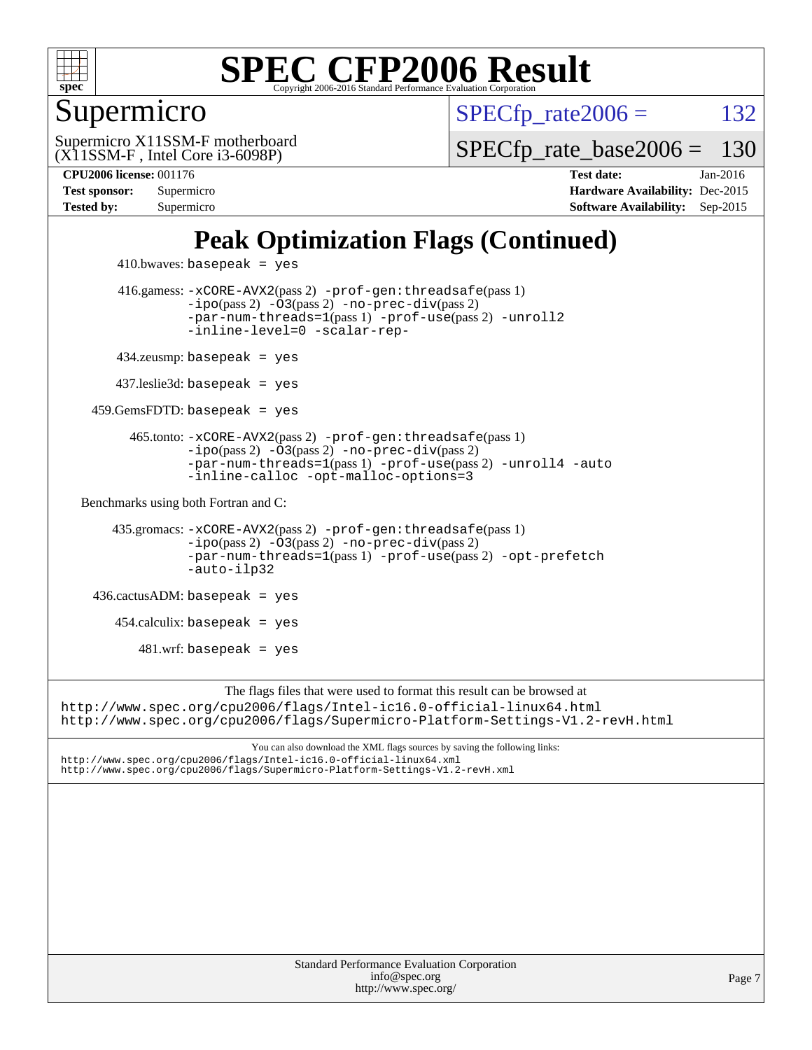

#### Supermicro

 $SPECTp\_rate2006 = 132$ 

(X11SSM-F , Intel Core i3-6098P) Supermicro X11SSM-F motherboard [SPECfp\\_rate\\_base2006 =](http://www.spec.org/auto/cpu2006/Docs/result-fields.html#SPECfpratebase2006) 130

**[Tested by:](http://www.spec.org/auto/cpu2006/Docs/result-fields.html#Testedby)** Supermicro **[Software Availability:](http://www.spec.org/auto/cpu2006/Docs/result-fields.html#SoftwareAvailability)** Sep-2015

**[CPU2006 license:](http://www.spec.org/auto/cpu2006/Docs/result-fields.html#CPU2006license)** 001176 **[Test date:](http://www.spec.org/auto/cpu2006/Docs/result-fields.html#Testdate)** Jan-2016 **[Test sponsor:](http://www.spec.org/auto/cpu2006/Docs/result-fields.html#Testsponsor)** Supermicro **[Hardware Availability:](http://www.spec.org/auto/cpu2006/Docs/result-fields.html#HardwareAvailability)** Dec-2015

### **[Peak Optimization Flags \(Continued\)](http://www.spec.org/auto/cpu2006/Docs/result-fields.html#PeakOptimizationFlags)**

```
410.bwaves: basepeak = yes 416.gamess: -xCORE-AVX2(pass 2) -prof-gen:threadsafe(pass 1)
                   -i\text{po}(pass 2) -03(pass 2)-no-prec-div(pass 2)
                   -par-num-threads=1(pass 1) -prof-use(pass 2) -unroll2
                   -inline-level=0 -scalar-rep-
         434.zeusmp: basepeak = yes
         437.leslie3d: basepeak = yes
     459.GemsFDTD: basepeak = yes
           465.tonto: -xCORE-AVX2(pass 2) -prof-gen:threadsafe(pass 1)
                   -no-prec-div(pass 2)-par-num-threads=1(pass 1) -prof-use(pass 2) -unroll4 -auto
                   -inline-calloc -opt-malloc-options=3
   Benchmarks using both Fortran and C: 
        435.gromacs: -xCORE-AVX2(pass 2) -prof-gen:threadsafe(pass 1)
                   -i\text{po}(pass 2) -03(pass 2)-no-prec-div(pass 2)
                   -par-num-threads=1(pass 1) -prof-use(pass 2) -opt-prefetch
                   -auto-ilp32
     436.cactusADM: basepeak = yes
        454.calculix: basepeak = yes
           481.wrf: basepeak = yes
                        The flags files that were used to format this result can be browsed at
http://www.spec.org/cpu2006/flags/Intel-ic16.0-official-linux64.html
http://www.spec.org/cpu2006/flags/Supermicro-Platform-Settings-V1.2-revH.html
                            You can also download the XML flags sources by saving the following links:
http://www.spec.org/cpu2006/flags/Intel-ic16.0-official-linux64.xml
http://www.spec.org/cpu2006/flags/Supermicro-Platform-Settings-V1.2-revH.xml
```